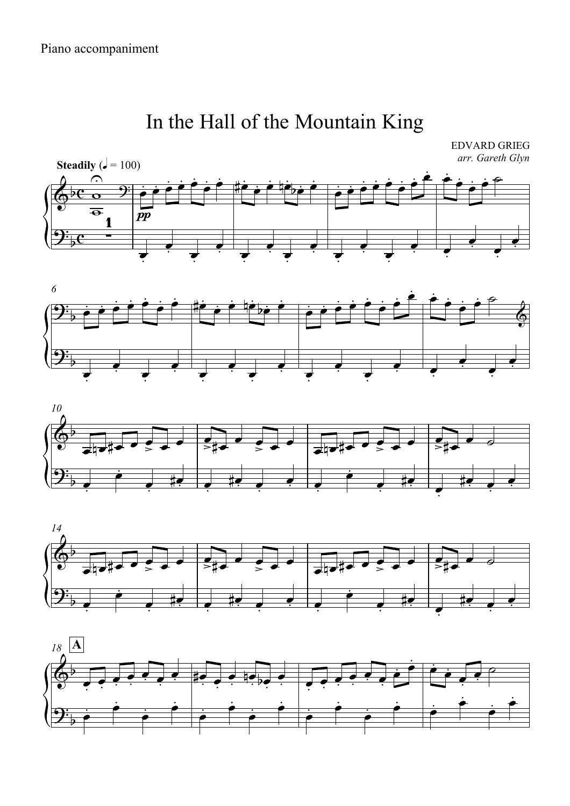## In the Hall of the Mountain King

**EDVARD GRIEG** arr. Gareth Glyn









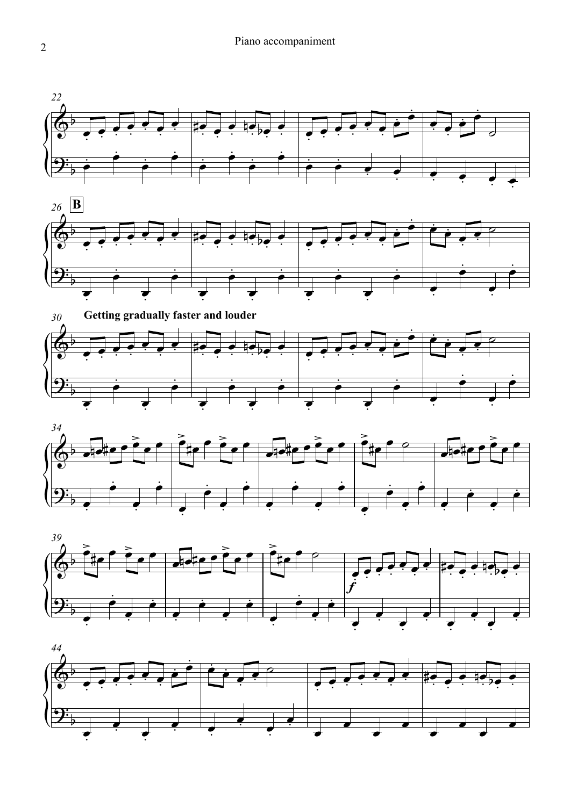









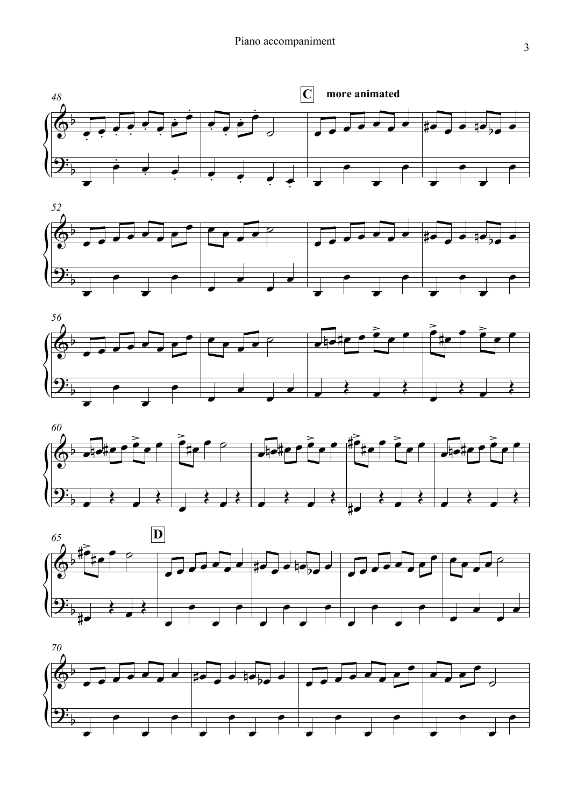